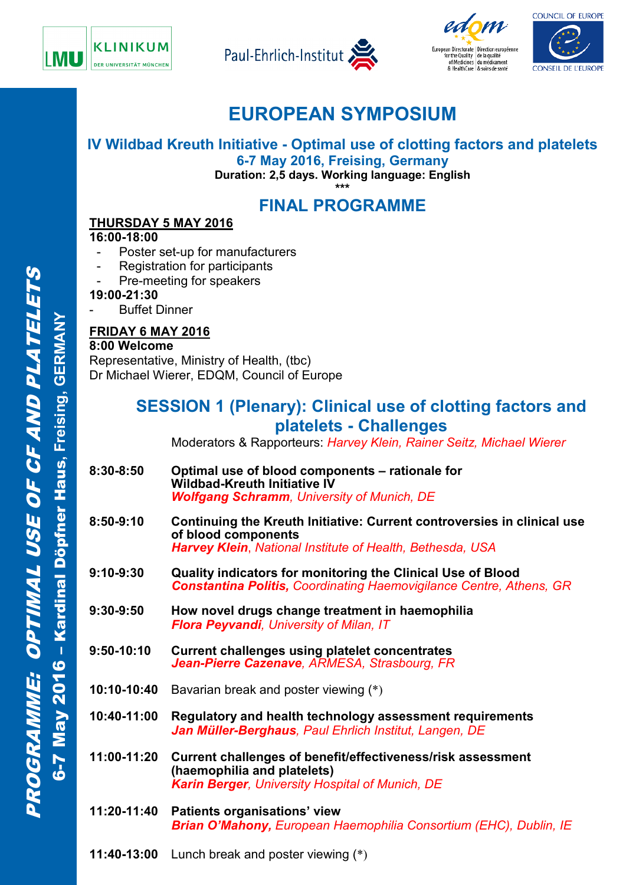







# **EUROPEAN SYMPOSIUM**

**IV Wildbad Kreuth Initiative - Optimal use of clotting factors and platelets 6-7 May 2016, Freising, Germany**

**Duration: 2,5 days. Working language: English**

**\*\*\* FINAL PROGRAMME**

### **THURSDAY 5 MAY 2016**

**16:00-18:00** 

- Poster set-up for manufacturers
- Registration for participants
- Pre-meeting for speakers
- **19:00-21:30**
	- **Buffet Dinner**

### **FRIDAY 6 MAY 2016**

**8:00 Welcome**  Representative, Ministry of Health, (tbc) Dr Michael Wierer, EDQM, Council of Europe

## **SESSION 1 (Plenary): Clinical use of clotting factors and platelets - Challenges**

Moderators & Rapporteurs: *Harvey Klein, Rainer Seitz, Michael Wierer*

- **8:30-8:50 Optimal use of blood components – rationale for Wildbad-Kreuth Initiative IV** *Wolfgang Schramm, University of Munich, DE*
- **8:50-9:10 Continuing the Kreuth Initiative: Current controversies in clinical use of blood components**  *Harvey Klein*, *National Institute of Health, Bethesda, USA*
- **9:10-9:30 Quality indicators for monitoring the Clinical Use of Blood** *Constantina Politis, Coordinating Haemovigilance Centre, Athens, GR*
- **9:30-9:50 How novel drugs change treatment in haemophilia** *Flora Peyvandi, University of Milan, IT*
- **9:50-10:10 Current challenges using platelet concentrates** *Jean-Pierre Cazenave, ARMESA, Strasbourg, FR*
- **10:10-10:40** Bavarian break and poster viewing (\*)
- **10:40-11:00 Regulatory and health technology assessment requirements**  *Jan Müller-Berghaus, Paul Ehrlich Institut, Langen, DE*
- **11:00-11:20 Current challenges of benefit/effectiveness/risk assessment (haemophilia and platelets)** *Karin Berger, University Hospital of Munich, DE*
- **11:20-11:40 Patients organisations' view** *Brian O'Mahony, European Haemophilia Consortium (EHC), Dublin, IE*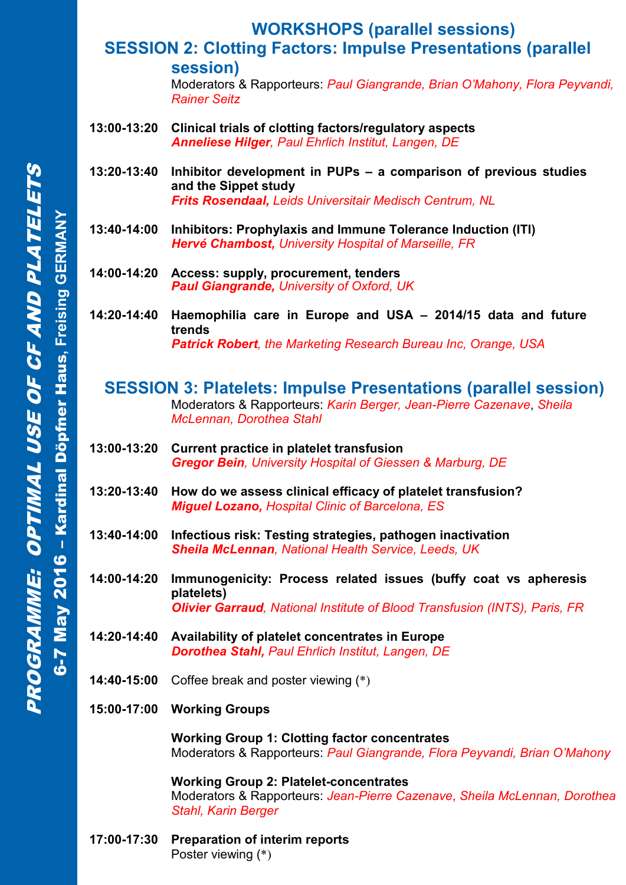# **WORKSHOPS (parallel sessions)**

### **SESSION 2: Clotting Factors: Impulse Presentations (parallel session)**

Moderators & Rapporteurs: *Paul Giangrande, Brian O'Mahony, Flora Peyvandi, Rainer Seitz*

- **13:00-13:20 Clinical trials of clotting factors/regulatory aspects** *Anneliese Hilger, Paul Ehrlich Institut, Langen, DE*
- **13:20-13:40 Inhibitor development in PUPs – a comparison of previous studies and the Sippet study** *Frits Rosendaal, Leids Universitair Medisch Centrum, NL*
- **13:40-14:00 Inhibitors: Prophylaxis and Immune Tolerance Induction (ITI)** *Hervé Chambost, University Hospital of Marseille, FR*
- **14:00-14:20 Access: supply, procurement, tenders** *Paul Giangrande, University of Oxford, UK*
- **14:20-14:40 Haemophilia care in Europe and USA – 2014/15 data and future trends** *Patrick Robert, the Marketing Research Bureau Inc, Orange, USA*

#### **SESSION 3: Platelets: Impulse Presentations (parallel session)** Moderators & Rapporteurs: *Karin Berger, Jean-Pierre Cazenave*, *Sheila McLennan, Dorothea Stahl*

- **13:00-13:20 Current practice in platelet transfusion** *Gregor Bein, University Hospital of Giessen & Marburg, DE*
- **13:20-13:40 How do we assess clinical efficacy of platelet transfusion?** *Miguel Lozano, Hospital Clinic of Barcelona, ES*
- **13:40-14:00 Infectious risk: Testing strategies, pathogen inactivation** *Sheila McLennan, National Health Service, Leeds, UK*
- **14:00-14:20 Immunogenicity: Process related issues (buffy coat vs apheresis platelets)** *Olivier Garraud, National Institute of Blood Transfusion (INTS), Paris, FR*
- **14:20-14:40 Availability of platelet concentrates in Europe** *Dorothea Stahl, Paul Ehrlich Institut, Langen, DE*
- **14:40-15:00** Coffee break and poster viewing (\*)
- **15:00-17:00 Working Groups**

**Working Group 1: Clotting factor concentrates** Moderators & Rapporteurs: *Paul Giangrande, Flora Peyvandi, Brian O'Mahony*

**Working Group 2: Platelet-concentrates** Moderators & Rapporteurs: *Jean-Pierre Cazenave*, *Sheila McLennan, Dorothea Stahl, Karin Berger*

**17:00-17:30 Preparation of interim reports** Poster viewing (\*)